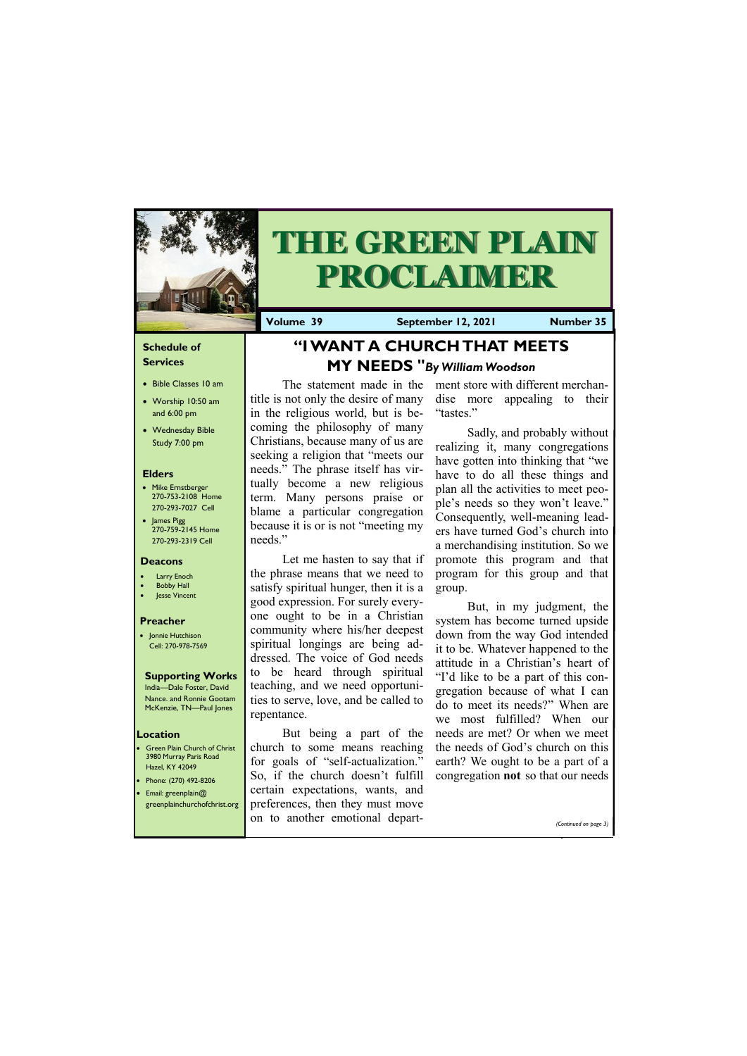### **Schedule of Services**

- Bible Classes 10 am
- Worship 10:50 am and 6:00 pm
- Wednesday Bible Study 7:00 pm

### **Elders**

- Mike Ernstberger 270-753-2108 Home 270-293-7027 Cell
- James Pigg 270-759-2145 Home 270-293-2319 Cell

**Green Plain Church of Christ** 3980 Murray Paris Road Hazel, KY 42049 • Phone: (270) 492-8206 • Email: greenplain@

### **Location**



# **THE GREEN PLAIN PROCLAIMER**

**Volume 39 September 12, 2021 Number 35**

### **Deacons**

- **Larry Enoch**
- **Bobby Hall**
- Jesse Vincent

### **Preacher**

• Jonnie Hutchison Cell: 270-978-7569

#### **Supporting Works** India—Dale Foster, David

Nance. and Ronnie Gootam McKenzie, TN—Paul Jones

# **"I WANT A CHURCH THAT MEETS MY NEEDS "***By William Woodson*

The statement made in the title is not only the desire of many in the religious world, but is becoming the philosophy of many Christians, because many of us are seeking a religion that "meets our needs." The phrase itself has virtually become a new religious term. Many persons praise or blame a particular congregation because it is or is not "meeting my needs."

greenplainchurchofchrist.org preferences, then they must move on to another emotional depart-

Let me hasten to say that if the phrase means that we need to satisfy spiritual hunger, then it is a good expression. For surely everyone ought to be in a Christian community where his/her deepest spiritual longings are being addressed. The voice of God needs to be heard through spiritual teaching, and we need opportunities to serve, love, and be called to repentance.

But being a part of the church to some means reaching for goals of "self-actualization." So, if the church doesn't fulfill certain expectations, wants, and

ment store with different merchandise more appealing to their "tastes."

Sadly, and probably without realizing it, many congregations have gotten into thinking that "we have to do all these things and plan all the activities to meet people's needs so they won't leave." Consequently, well-meaning leaders have turned God's church into a merchandising institution. So we promote this program and that program for this group and that group.

But, in my judgment, the system has become turned upside down from the way God intended it to be. Whatever happened to the attitude in a Christian's heart of "I'd like to be a part of this congregation because of what I can do to meet its needs?" When are we most fulfilled? When our needs are met? Or when we meet the needs of God's church on this earth? We ought to be a part of a congregation **not** so that our needs

*(Continued on page 3)*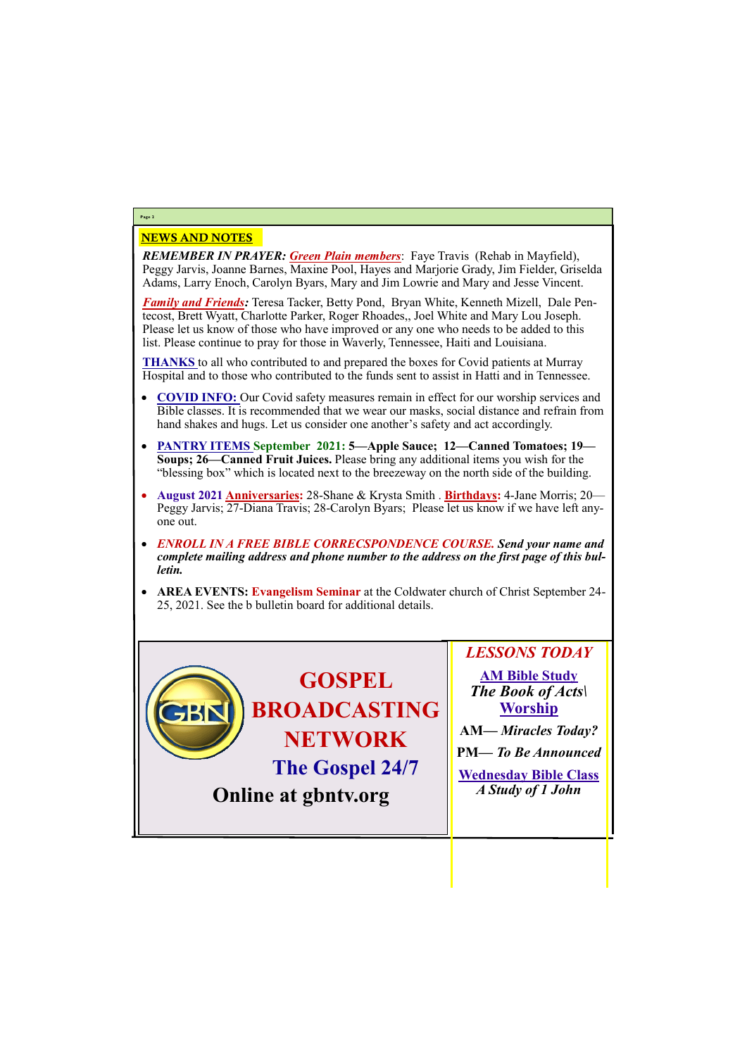## NEWS AND NOTES

*REMEMBER IN PRAYER: Green Plain members*: Faye Travis (Rehab in Mayfield), Peggy Jarvis, Joanne Barnes, Maxine Pool, Hayes and Marjorie Grady, Jim Fielder, Griselda Adams, Larry Enoch, Carolyn Byars, Mary and Jim Lowrie and Mary and Jesse Vincent.

*Family and Friends:* Teresa Tacker, Betty Pond, Bryan White, Kenneth Mizell, Dale Pentecost, Brett Wyatt, Charlotte Parker, Roger Rhoades,, Joel White and Mary Lou Joseph. Please let us know of those who have improved or any one who needs to be added to this list. Please continue to pray for those in Waverly, Tennessee, Haiti and Louisiana.

**THANKS** to all who contributed to and prepared the boxes for Covid patients at Murray Hospital and to those who contributed to the funds sent to assist in Hatti and in Tennessee.

- **COVID INFO:** Our Covid safety measures remain in effect for our worship services and Bible classes. It is recommended that we wear our masks, social distance and refrain from hand shakes and hugs. Let us consider one another's safety and act accordingly.
- **PANTRY ITEMS September 2021: 5—Apple Sauce; 12—Canned Tomatoes; 19— Soups; 26—Canned Fruit Juices.** Please bring any additional items you wish for the "blessing box" which is located next to the breezeway on the north side of the building.
- **August 2021 Anniversaries:** 28-Shane & Krysta Smith . **Birthdays:** 4-Jane Morris; 20— Peggy Jarvis; 27-Diana Travis; 28-Carolyn Byars; Please let us know if we have left anyone out.
- *ENROLL IN A FREE BIBLE CORRECSPONDENCE COURSE. Send your name and complete mailing address and phone number to the address on the first page of this bulletin.*
- **AREA EVENTS: Evangelism Seminar** at the Coldwater church of Christ September 24- 25, 2021. See the b bulletin board for additional details.

# **Page 2**



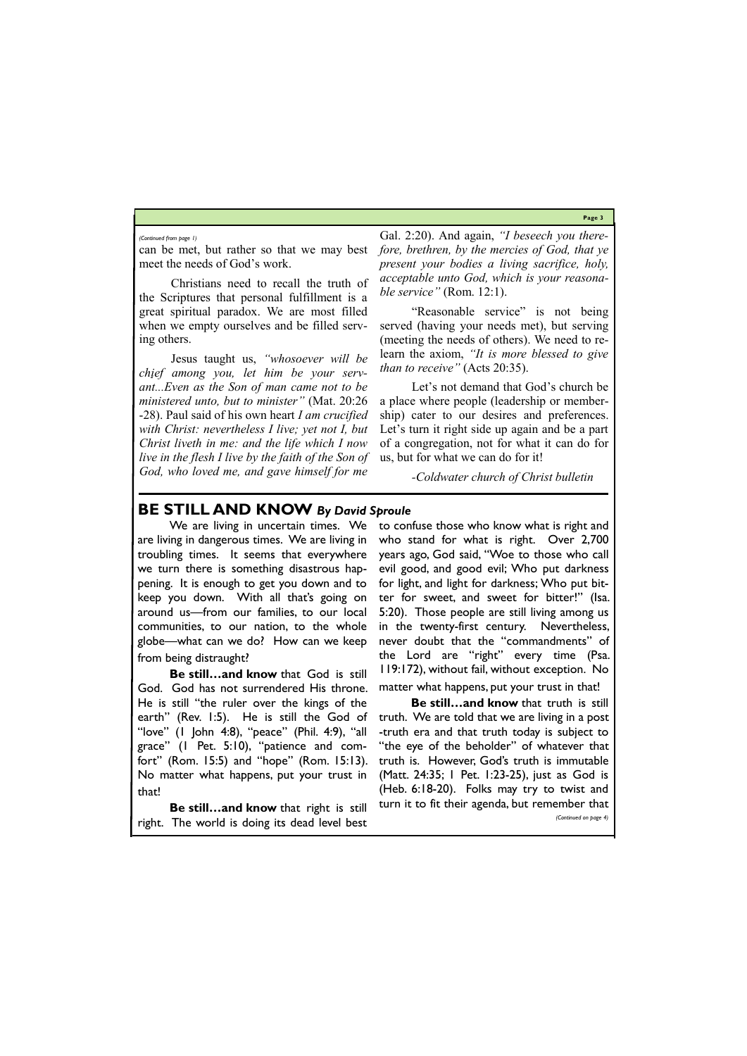**Page 3**

can be met, but rather so that we may best meet the needs of God's work.

Christians need to recall the truth of the Scriptures that personal fulfillment is a great spiritual paradox. We are most filled when we empty ourselves and be filled serving others.

Jesus taught us, *"whosoever will be chief among you, let him be your servant...Even as the Son of man came not to be ministered unto, but to minister"* (Mat. 20:26 -28). Paul said of his own heart *I am crucified with Christ: nevertheless I live; yet not I, but Christ liveth in me: and the life which I now live in the flesh I live by the faith of the Son of God, who loved me, and gave himself for me* 

Gal. 2:20). And again, *"I beseech you therefore, brethren, by the mercies of God, that ye present your bodies a living sacrifice, holy, acceptable unto God, which is your reasonable service"* (Rom. 12:1).

"Reasonable service" is not being served (having your needs met), but serving (meeting the needs of others). We need to relearn the axiom, *"It is more blessed to give than to receive"* (Acts 20:35).

Let's not demand that God's church be a place where people (leadership or membership) cater to our desires and preferences. Let's turn it right side up again and be a part of a congregation, not for what it can do for us, but for what we can do for it!

*-Coldwater church of Christ bulletin*

### *(Continued from page 1)*

# **BE STILL AND KNOW** *By David Sproule*

We are living in uncertain times. We are living in dangerous times. We are living in troubling times. It seems that everywhere we turn there is something disastrous happening. It is enough to get you down and to keep you down. With all that's going on around us—from our families, to our local communities, to our nation, to the whole globe—what can we do? How can we keep from being distraught?

**Be still…and know** that God is still God. God has not surrendered His throne. He is still "the ruler over the kings of the earth" (Rev. 1:5). He is still the God of "love" (1 John 4:8), "peace" (Phil. 4:9), "all grace" (1 Pet. 5:10), "patience and comfort" (Rom. 15:5) and "hope" (Rom. 15:13). No matter what happens, put your trust in that!

to confuse those who know what is right and who stand for what is right. Over 2,700 years ago, God said, "Woe to those who call evil good, and good evil; Who put darkness for light, and light for darkness; Who put bitter for sweet, and sweet for bitter!" (Isa. 5:20). Those people are still living among us in the twenty-first century. Nevertheless, never doubt that the "commandments" of the Lord are "right" every time (Psa. 119:172), without fail, without exception. No matter what happens, put your trust in that!

**Be still…and know** that right is still right. The world is doing its dead level best turn it to fit their agenda, but remember that *(Continued on page 4)*

**Be still…and know** that truth is still truth. We are told that we are living in a post -truth era and that truth today is subject to "the eye of the beholder" of whatever that truth is. However, God's truth is immutable (Matt. 24:35; 1 Pet. 1:23-25), just as God is (Heb. 6:18-20). Folks may try to twist and